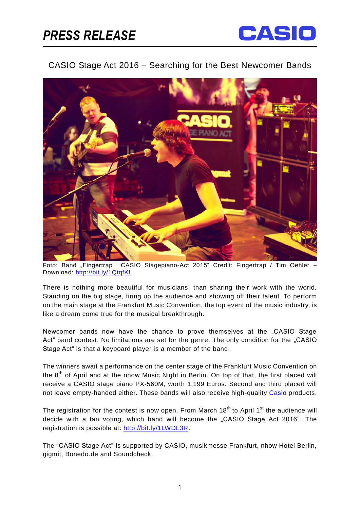## *PRESS RELEASE*



## CASIO Stage Act 2016 – Searching for the Best Newcomer Bands



Foto: Band "Fingertrap" "CASIO Stagepiano-Act 2015" Credit: Fingertrap / Tim Oehler – Download:<http://bit.ly/1QtqfKf>

There is nothing more beautiful for musicians, than sharing their work with the world. Standing on the big stage, firing up the audience and showing off their talent. To perform on the main stage at the Frankfurt Music Convention, the top event of the music industry, is like a dream come true for the musical breakthrough.

Newcomer bands now have the chance to prove themselves at the "CASIO Stage Act" band contest. No limitations are set for the genre. The only condition for the "CASIO Stage Act" is that a keyboard player is a member of the band.

The winners await a performance on the center stage of the Frankfurt Music Convention on the 8<sup>th</sup> of April and at the nhow Music Night in Berlin. On top of that, the first placed will receive a CASIO stage piano PX-560M, worth 1.199 Euros. Second and third placed will not leave empty-handed either. These bands will also receive high-quality Casio products.

The registration for the contest is now open. From March 18<sup>th</sup> to April 1<sup>st</sup> the audience will decide with a fan voting, which band will become the "CASIO Stage Act 2016". The registration is possible at: [http://bit.ly/1LWDL3R.](http://bit.ly/1LWDL3R)

The "CASIO Stage Act" is supported by CASIO, musikmesse Frankfurt, nhow Hotel Berlin, gigmit, Bonedo.de and Soundcheck.